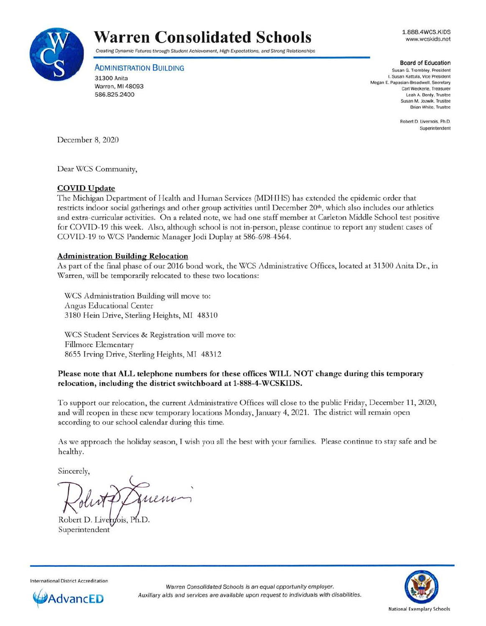

# **Warren Consolidated Schools**

Creating Dynamic Futures through Student Achievement, High Expectations, and Strong Relationships

**ADMINISTRATION BUILDING** 

31300 Anita Warren, **Ml** 48093 586.825.2400

1.888.4WCS.KIDS www.wcskids.net

#### **Board of Education**

Susan G. Trombley. President I. Susan Kattula, Vice President Megan E. Papasian-Broadwell. Secretary Carl Weckerle. Treasurer Leah A. Berdy, Trustee Susan M. Jozwik, Trustee Brian White. Trustee

> Robert D. Livernois, Ph.D. Superintendent

December 8, 2020

Dear WCS Community,

### **COVID Update**

The Michigan Department of Health and Human Services (MDHHS) has extended the epidemic order that restricts indoor social gatherings and other group activities until December 20<sup>th</sup>, which also includes our athletics and extra-curricular activities. On a related note, we had one staff member at Carleton Middle School test positive for COVID-19 this week. Also, although school is not in-person, please continue to report any student cases of COVID-19 to WCS Pandemic Manager Jodi Duplay at 586-698-4564.

### **Administration Building Relocation**

As part of the final phase of our 2016 bond work, the WCS Administrative Offices, located at 31300 Anita Dr., in \'v'arren, will be temporarily relocated to these two locations:

WCS Administration Building will move to: Angus Educational Center 3180 Hein Drive, Sterling Heights, MI 48310

WCS Student Services & Registration will move to: Fillmore Elementary 8655 Irving Drive, Sterling Heights, MI 48312

### **Please note that ALL telephone numbers for these offices WILL NOT change during this temporary relocation, including the district switchboard at 1-888-4-WCSKIDS.**

To support our relocation, the current Administrative Offices will close to the public Friday, December 11 , 2020, and will reopen in these new temporary locations Monday, January 4, 2021. The district will remain open according to our school calendar during this time.

As we approach the holiday season, I wish you all the best with your families. Please continue to stay safe and be healthy.

Sincerely,

Robert D. Liverpois, Ph.D. Superintendent

International District Accreditation



Warren Consolidated Schools is an equal opportunity employer. Auxiliary aids and services are available upon request to individuals with disabilities.